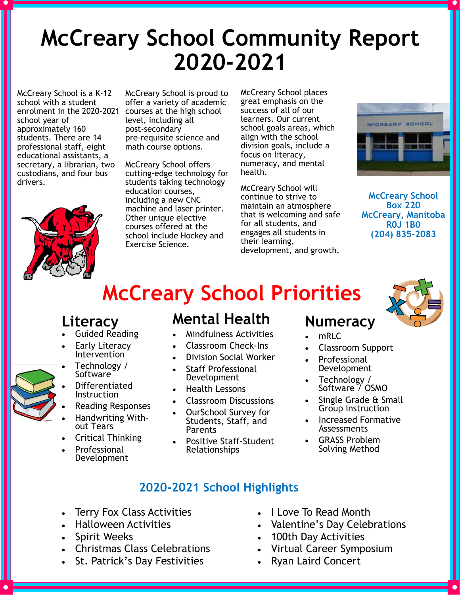# **McCreary School Community Report 2020-2021**

McCreary School is a K-12 school with a student enrolment in the 2020-2021 courses at the high school school year of approximately 160 students. There are 14 professional staff, eight educational assistants, a secretary, a librarian, two custodians, and four bus drivers.



McCreary School is proud to offer a variety of academic level, including all post-secondary pre-requisite science and math course options.

McCreary School offers cutting-edge technology for students taking technology education courses, including a new CNC machine and laser printer. Other unique elective courses offered at the school include Hockey and Exercise Science.

McCreary School places great emphasis on the success of all of our learners. Our current school goals areas, which align with the school division goals, include a focus on literacy, numeracy, and mental health.

McCreary School will continue to strive to maintain an atmosphere that is welcoming and safe for all students, and engages all students in their learning, development, and growth.



**McCreary School Box 220 McCreary, Manitoba R0J 1B0 (204) 835-2083**

## **McCreary School Priorities**



- Guided Reading
- Early Literacy Intervention
- Technology / Software
- Differentiated
- **Instruction** Reading Responses
- Handwriting With-
- out Tears
- Critical Thinking
- Professional Development

### **Mental Health**

- Mindfulness Activities
- Classroom Check-Ins
- Division Social Worker
- Staff Professional Development
- Health Lessons
- Classroom Discussions
- OurSchool Survey for Students, Staff, and Parents
- Positive Staff-Student Relationships

## **Numeracy**

- mRI<sub>C</sub>
- Classroom Support
- Professional Development
- Technology / Software  $\frac{1}{2}$  OSMO
- Single Grade & Small Group Instruction
- Increased Formative Assessments
- GRASS Problem Solving Method

#### **2020-2021 School Highlights**

- Terry Fox Class Activities
- Halloween Activities
- Spirit Weeks
- Christmas Class Celebrations
- St. Patrick's Day Festivities
- I Love To Read Month
- Valentine's Day Celebrations
- 100th Day Activities
- Virtual Career Symposium
- Ryan Laird Concert